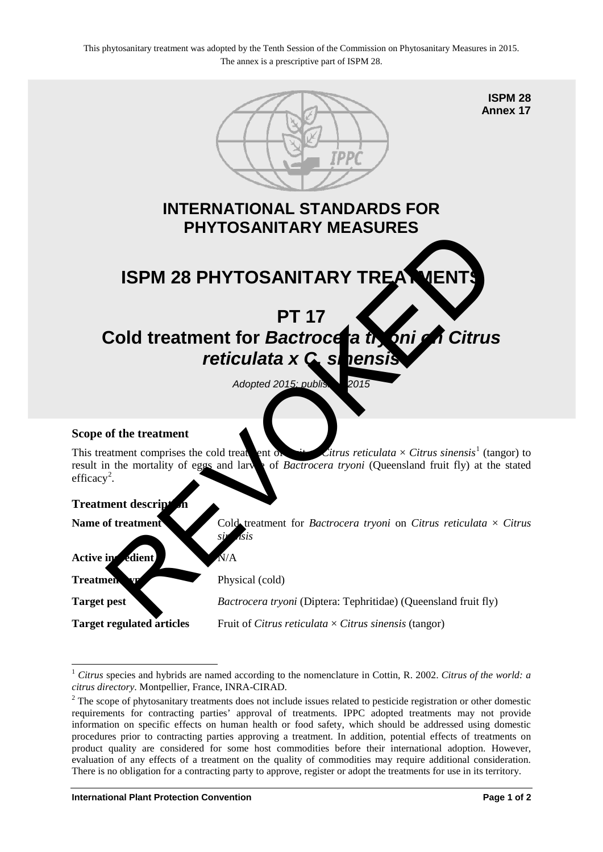

<sup>1</sup> *Citrus* species and hybrids are named according to the nomenclature in Cottin, R. 2002. *Citrus of the world: a citrus directory*. Montpellier, France, INRA-CIRAD.<br><sup>2</sup> The scope of phytosanitary treatments does not include issues related to pesticide registration or other domestic

<span id="page-0-0"></span>-

<span id="page-0-1"></span>requirements for contracting parties' approval of treatments. IPPC adopted treatments may not provide information on specific effects on human health or food safety, which should be addressed using domestic procedures prior to contracting parties approving a treatment. In addition, potential effects of treatments on product quality are considered for some host commodities before their international adoption. However, evaluation of any effects of a treatment on the quality of commodities may require additional consideration. There is no obligation for a contracting party to approve, register or adopt the treatments for use in its territory.